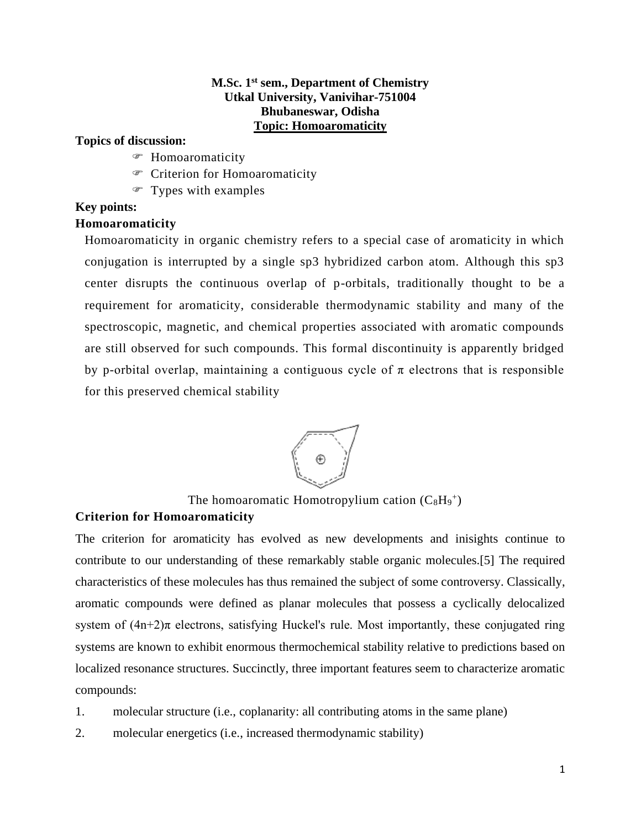# **M.Sc. 1 st sem., Department of Chemistry Utkal University, Vanivihar-751004 Bhubaneswar, Odisha Topic: Homoaromaticity**

### **Topics of discussion:**

- Homoaromaticity
- Criterion for Homoaromaticity
- Types with examples

# **Key points:**

### **Homoaromaticity**

Homoaromaticity in organic chemistry refers to a special case of aromaticity in which conjugation is interrupted by a single sp3 hybridized carbon atom. Although this sp3 center disrupts the continuous overlap of p-orbitals, traditionally thought to be a requirement for aromaticity, considerable thermodynamic stability and many of the spectroscopic, magnetic, and chemical properties associated with aromatic compounds are still observed for such compounds. This formal discontinuity is apparently bridged by p-orbital overlap, maintaining a contiguous cycle of  $\pi$  electrons that is responsible for this preserved chemical stability



The homoaromatic Homotropylium cation  $(C_8H_9^+)$ 

# **Criterion for Homoaromaticity**

The criterion for aromaticity has evolved as new developments and inisights continue to contribute to our understanding of these remarkably stable organic molecules.[5] The required characteristics of these molecules has thus remained the subject of some controversy. Classically, aromatic compounds were defined as planar molecules that possess a cyclically delocalized system of  $(4n+2)\pi$  electrons, satisfying Huckel's rule. Most importantly, these conjugated ring systems are known to exhibit enormous thermochemical stability relative to predictions based on localized resonance structures. Succinctly, three important features seem to characterize aromatic compounds:

- 1. molecular structure (i.e., coplanarity: all contributing atoms in the same plane)
- 2. molecular energetics (i.e., increased thermodynamic stability)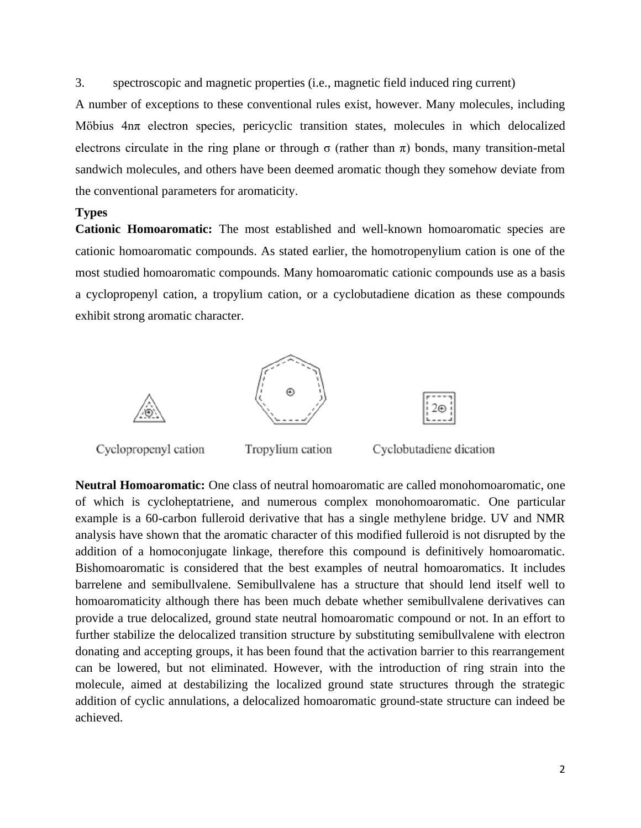3. spectroscopic and magnetic properties (i.e., magnetic field induced ring current)

A number of exceptions to these conventional rules exist, however. Many molecules, including Möbius 4nπ electron species, pericyclic transition states, molecules in which delocalized electrons circulate in the ring plane or through  $\sigma$  (rather than  $\pi$ ) bonds, many transition-metal sandwich molecules, and others have been deemed aromatic though they somehow deviate from the conventional parameters for aromaticity.

#### **Types**

**Cationic Homoaromatic:** The most established and well-known homoaromatic species are cationic homoaromatic compounds. As stated earlier, the homotropenylium cation is one of the most studied homoaromatic compounds. Many homoaromatic cationic compounds use as a basis a cyclopropenyl cation, a tropylium cation, or a cyclobutadiene dication as these compounds exhibit strong aromatic character.



**Neutral Homoaromatic:** One class of neutral homoaromatic are called monohomoaromatic, one of which is cycloheptatriene, and numerous complex monohomoaromatic. One particular example is a 60-carbon fulleroid derivative that has a single methylene bridge. UV and NMR analysis have shown that the aromatic character of this modified fulleroid is not disrupted by the addition of a homoconjugate linkage, therefore this compound is definitively homoaromatic. Bishomoaromatic is considered that the best examples of neutral homoaromatics. It includes barrelene and semibullvalene. Semibullvalene has a structure that should lend itself well to homoaromaticity although there has been much debate whether semibullvalene derivatives can provide a true delocalized, ground state neutral homoaromatic compound or not. In an effort to further stabilize the delocalized transition structure by substituting semibullvalene with electron donating and accepting groups, it has been found that the activation barrier to this rearrangement can be lowered, but not eliminated. However, with the introduction of ring strain into the molecule, aimed at destabilizing the localized ground state structures through the strategic addition of cyclic annulations, a delocalized homoaromatic ground-state structure can indeed be achieved.